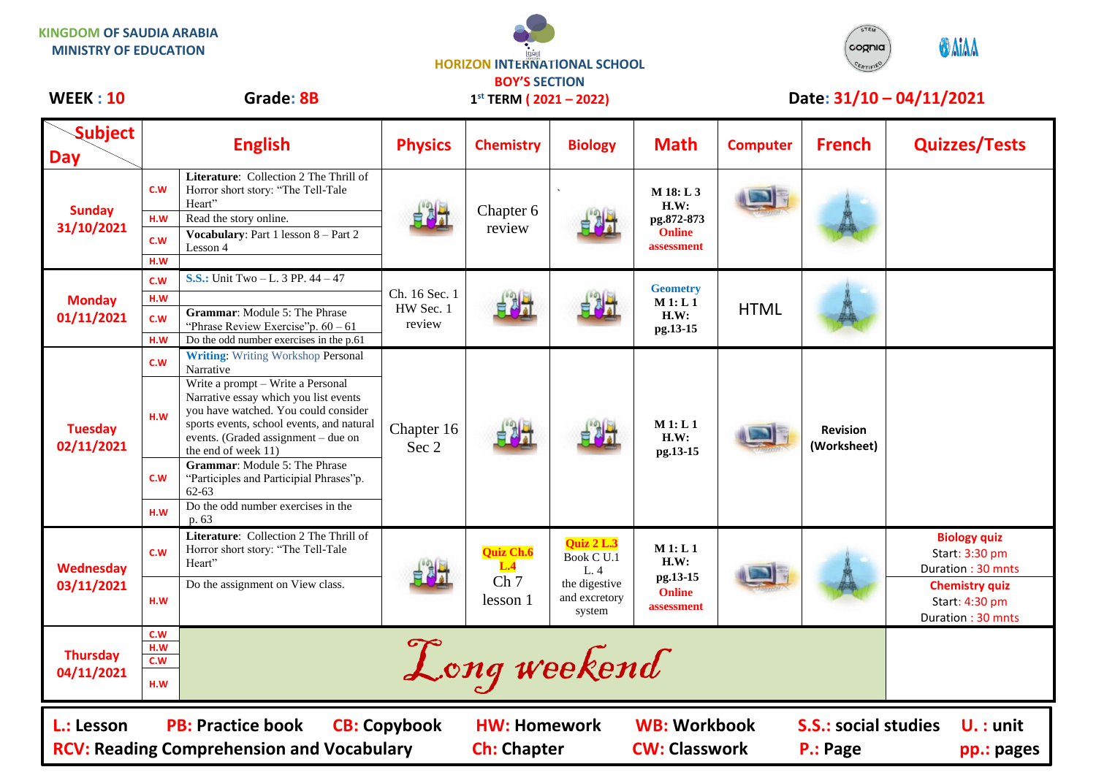**KINGDOM OF SAUDIA ARABIA MINISTRY OF EDUCATION**



**1 st TERM ( 2021 – 2022)**



## WEEK : 10 Grade: 8B 1<sup>st</sup> TERM (2021 – 2022) Date: 31/10 – 04/11/2021

| <b>Subject</b><br>Day                                                                                                                                                                                                                                                                 | <b>English</b>           |                                                                                                                                                                                                                               | <b>Physics</b>                       | <b>Chemistry</b>                                       | <b>Biology</b>                                                                      | <b>Math</b>                                                    | <b>Computer</b> | <b>French</b>                  | <b>Quizzes/Tests</b>                                         |
|---------------------------------------------------------------------------------------------------------------------------------------------------------------------------------------------------------------------------------------------------------------------------------------|--------------------------|-------------------------------------------------------------------------------------------------------------------------------------------------------------------------------------------------------------------------------|--------------------------------------|--------------------------------------------------------|-------------------------------------------------------------------------------------|----------------------------------------------------------------|-----------------|--------------------------------|--------------------------------------------------------------|
| <b>Sunday</b><br>31/10/2021                                                                                                                                                                                                                                                           | C.W                      | Literature: Collection 2 The Thrill of<br>Horror short story: "The Tell-Tale<br>Heart"                                                                                                                                        |                                      | Chapter 6<br>review                                    |                                                                                     | M 18: L 3<br>H.W:<br>pg.872-873<br><b>Online</b><br>assessment |                 |                                |                                                              |
|                                                                                                                                                                                                                                                                                       | H.W                      | Read the story online.                                                                                                                                                                                                        |                                      |                                                        |                                                                                     |                                                                |                 |                                |                                                              |
|                                                                                                                                                                                                                                                                                       | C.W                      | <b>Vocabulary:</b> Part 1 lesson 8 – Part 2<br>Lesson 4                                                                                                                                                                       |                                      |                                                        |                                                                                     |                                                                |                 |                                |                                                              |
|                                                                                                                                                                                                                                                                                       | H.W                      |                                                                                                                                                                                                                               |                                      |                                                        |                                                                                     |                                                                |                 |                                |                                                              |
| <b>Monday</b><br>01/11/2021                                                                                                                                                                                                                                                           | C.W                      | <b>S.S.:</b> Unit Two $-L$ , 3 PP, $44 - 47$                                                                                                                                                                                  | Ch. 16 Sec. 1<br>HW Sec. 1<br>review | 白风灯                                                    |                                                                                     | <b>Geometry</b><br>M1: L1<br>H.W:<br>pg.13-15                  | <b>HTML</b>     |                                |                                                              |
|                                                                                                                                                                                                                                                                                       | H.W                      |                                                                                                                                                                                                                               |                                      |                                                        |                                                                                     |                                                                |                 |                                |                                                              |
|                                                                                                                                                                                                                                                                                       | C.W                      | <b>Grammar:</b> Module 5: The Phrase<br>"Phrase Review Exercise" p. $60 - 61$                                                                                                                                                 |                                      |                                                        |                                                                                     |                                                                |                 |                                |                                                              |
|                                                                                                                                                                                                                                                                                       | H.W                      | Do the odd number exercises in the p.61                                                                                                                                                                                       |                                      |                                                        |                                                                                     |                                                                |                 |                                |                                                              |
| <b>Tuesday</b><br>02/11/2021                                                                                                                                                                                                                                                          | C.W                      | <b>Writing:</b> Writing Workshop Personal<br>Narrative                                                                                                                                                                        | Chapter 16<br>Sec 2                  |                                                        |                                                                                     | M1: L1<br>H.W:<br>pg.13-15                                     |                 | <b>Revision</b><br>(Worksheet) |                                                              |
|                                                                                                                                                                                                                                                                                       | H.W                      | Write a prompt - Write a Personal<br>Narrative essay which you list events<br>you have watched. You could consider<br>sports events, school events, and natural<br>events. (Graded assignment - due on<br>the end of week 11) |                                      |                                                        |                                                                                     |                                                                |                 |                                |                                                              |
|                                                                                                                                                                                                                                                                                       | C.W                      | <b>Grammar:</b> Module 5: The Phrase<br>"Participles and Participial Phrases"p.<br>$62 - 63$                                                                                                                                  |                                      |                                                        |                                                                                     |                                                                |                 |                                |                                                              |
|                                                                                                                                                                                                                                                                                       | H.W                      | Do the odd number exercises in the<br>p. 63                                                                                                                                                                                   |                                      |                                                        |                                                                                     |                                                                |                 |                                |                                                              |
| <b>Wednesday</b><br>03/11/2021                                                                                                                                                                                                                                                        | C.W                      | Literature: Collection 2 The Thrill of<br>Horror short story: "The Tell-Tale<br>Heart"                                                                                                                                        |                                      | <b>Quiz Ch.6</b><br>L.4<br>Ch <sub>7</sub><br>lesson 1 | <b>Quiz 2 L.3</b><br>Book C U.1<br>L. 4<br>the digestive<br>and excretory<br>system | M1: L1<br>H.W:<br>pg.13-15<br><b>Online</b><br>assessment      |                 |                                | <b>Biology quiz</b><br>Start: 3:30 pm<br>Duration: 30 mnts   |
|                                                                                                                                                                                                                                                                                       | H.W                      | Do the assignment on View class.                                                                                                                                                                                              |                                      |                                                        |                                                                                     |                                                                |                 |                                | <b>Chemistry quiz</b><br>Start: 4:30 pm<br>Duration: 30 mnts |
| <b>Thursday</b><br>04/11/2021                                                                                                                                                                                                                                                         | C.W<br>H.W<br>c.w<br>H.W |                                                                                                                                                                                                                               |                                      | Long weekend                                           |                                                                                     |                                                                |                 |                                |                                                              |
| <b>WB: Workbook</b><br><b>PB: Practice book</b><br><b>CB: Copybook</b><br><b>S.S.: social studies</b><br>L.: Lesson<br><b>HW: Homework</b><br>$U. :$ unit<br><b>CW: Classwork</b><br><b>RCV: Reading Comprehension and Vocabulary</b><br><b>Ch: Chapter</b><br>P.: Page<br>pp.: pages |                          |                                                                                                                                                                                                                               |                                      |                                                        |                                                                                     |                                                                |                 |                                |                                                              |